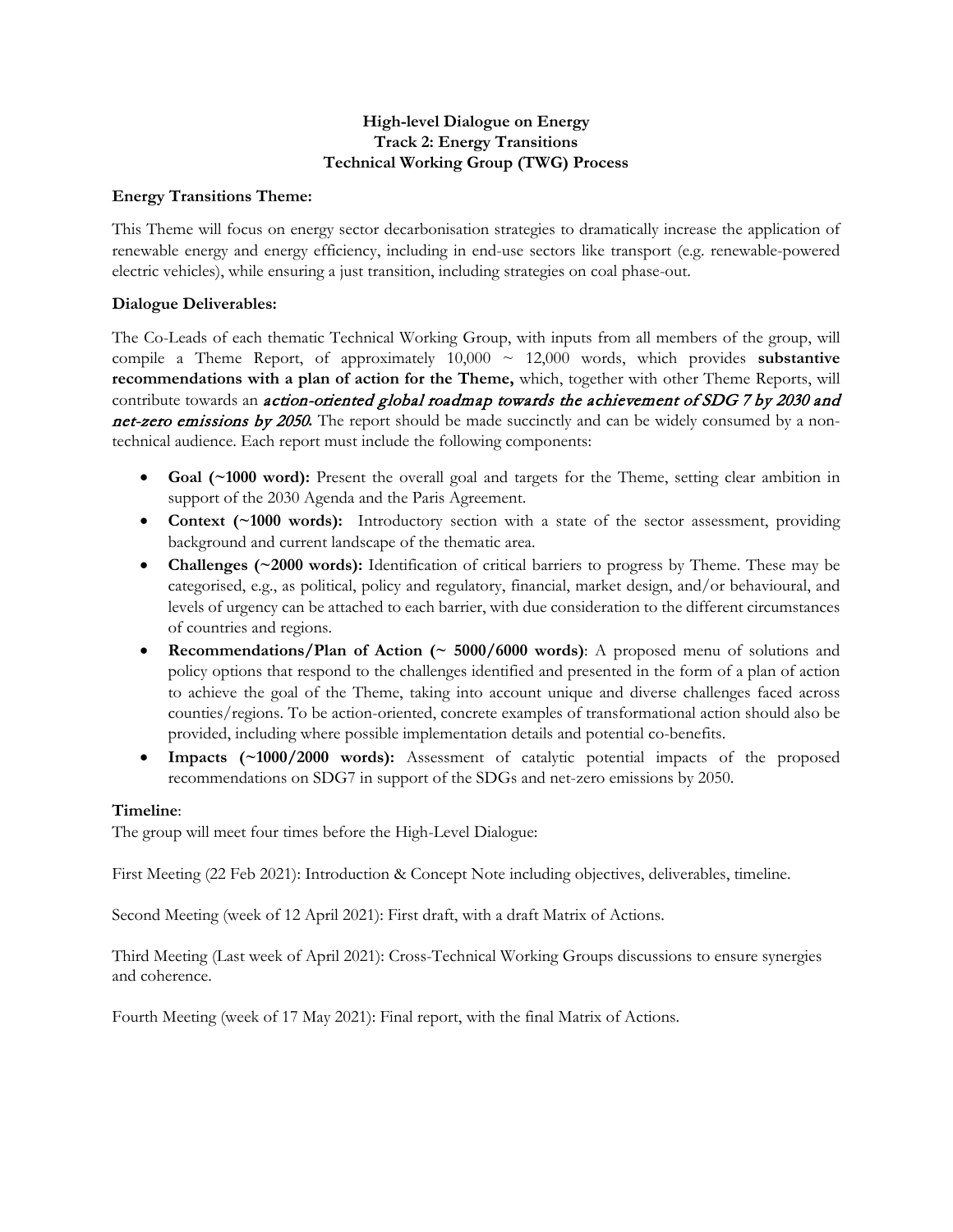# **High-level Dialogue on Energy Track 2: Energy Transitions Technical Working Group (TWG) Process**

### **Energy Transitions Theme:**

This Theme will focus on energy sector decarbonisation strategies to dramatically increase the application of renewable energy and energy efficiency, including in end-use sectors like transport (e.g. renewable-powered electric vehicles), while ensuring a just transition, including strategies on coal phase-out.

## **Dialogue Deliverables:**

The Co-Leads of each thematic Technical Working Group, with inputs from all members of the group, will compile a Theme Report, of approximately 10,000 ~ 12,000 words, which provides **substantive recommendations with a plan of action for the Theme,** which, together with other Theme Reports, will contribute towards an *action-oriented global roadmap towards the achievement of SDG 7 by 2030 and* net-zero emissions by 2050**.** The report should be made succinctly and can be widely consumed by a nontechnical audience. Each report must include the following components:

- **Goal (~1000 word):** Present the overall goal and targets for the Theme, setting clear ambition in support of the 2030 Agenda and the Paris Agreement.
- **Context (~1000 words):** Introductory section with a state of the sector assessment, providing background and current landscape of the thematic area.
- **Challenges (~2000 words):** Identification of critical barriers to progress by Theme. These may be categorised, e.g., as political, policy and regulatory, financial, market design, and/or behavioural, and levels of urgency can be attached to each barrier, with due consideration to the different circumstances of countries and regions.
- **Recommendations/Plan of Action (~ 5000/6000 words)**: A proposed menu of solutions and policy options that respond to the challenges identified and presented in the form of a plan of action to achieve the goal of the Theme, taking into account unique and diverse challenges faced across counties/regions. To be action-oriented, concrete examples of transformational action should also be provided, including where possible implementation details and potential co-benefits.
- **Impacts (~1000/2000 words):** Assessment of catalytic potential impacts of the proposed recommendations on SDG7 in support of the SDGs and net-zero emissions by 2050.

#### **Timeline**:

The group will meet four times before the High-Level Dialogue:

First Meeting (22 Feb 2021): Introduction & Concept Note including objectives, deliverables, timeline.

Second Meeting (week of 12 April 2021): First draft, with a draft Matrix of Actions.

Third Meeting (Last week of April 2021): Cross-Technical Working Groups discussions to ensure synergies and coherence.

Fourth Meeting (week of 17 May 2021): Final report, with the final Matrix of Actions.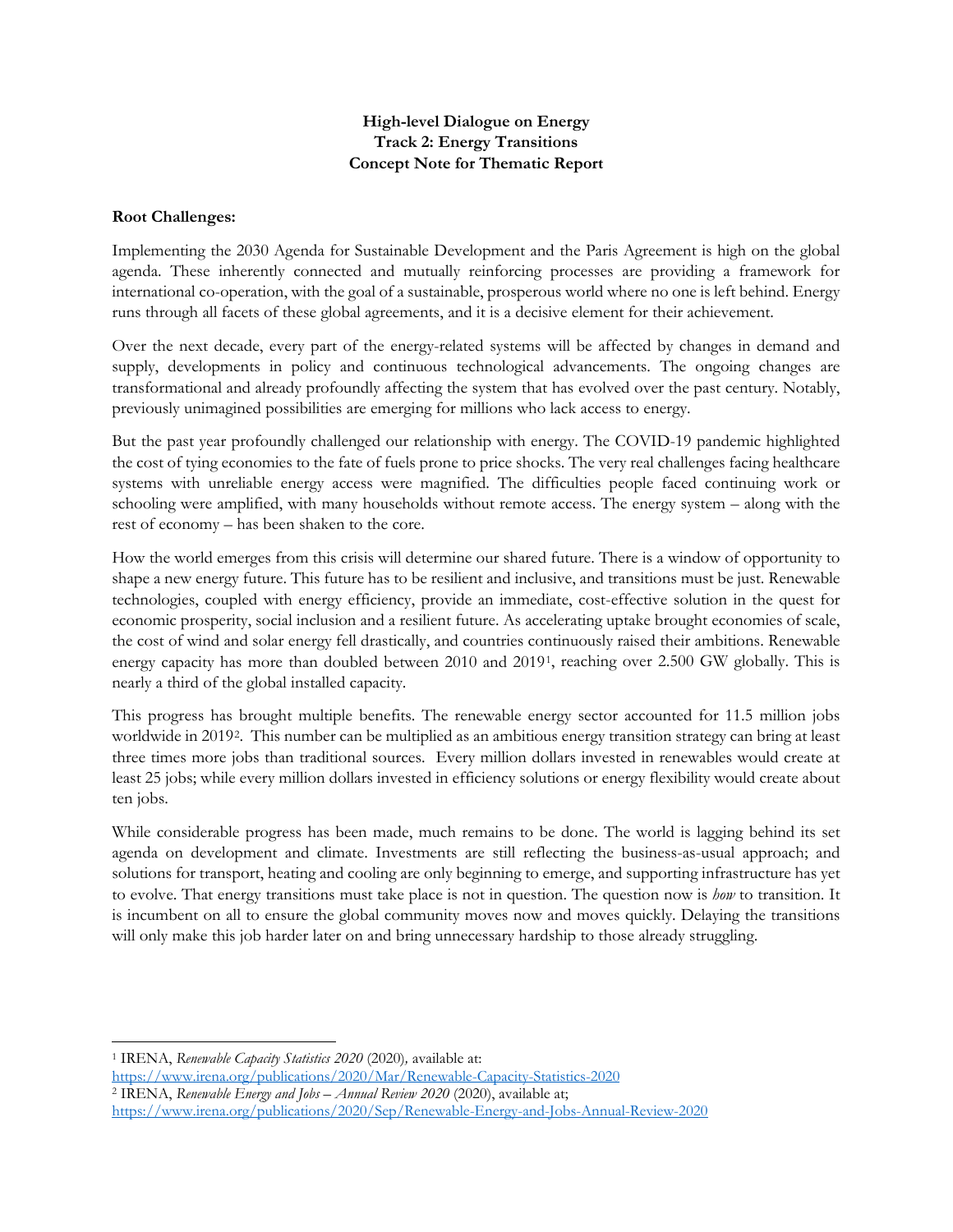# **High-level Dialogue on Energy Track 2: Energy Transitions Concept Note for Thematic Report**

### **Root Challenges:**

Implementing the 2030 Agenda for Sustainable Development and the Paris Agreement is high on the global agenda. These inherently connected and mutually reinforcing processes are providing a framework for international co-operation, with the goal of a sustainable, prosperous world where no one is left behind. Energy runs through all facets of these global agreements, and it is a decisive element for their achievement.

Over the next decade, every part of the energy-related systems will be affected by changes in demand and supply, developments in policy and continuous technological advancements. The ongoing changes are transformational and already profoundly affecting the system that has evolved over the past century. Notably, previously unimagined possibilities are emerging for millions who lack access to energy.

But the past year profoundly challenged our relationship with energy. The COVID-19 pandemic highlighted the cost of tying economies to the fate of fuels prone to price shocks. The very real challenges facing healthcare systems with unreliable energy access were magnified. The difficulties people faced continuing work or schooling were amplified, with many households without remote access. The energy system – along with the rest of economy – has been shaken to the core.

How the world emerges from this crisis will determine our shared future. There is a window of opportunity to shape a new energy future. This future has to be resilient and inclusive, and transitions must be just. Renewable technologies, coupled with energy efficiency, provide an immediate, cost-effective solution in the quest for economic prosperity, social inclusion and a resilient future. As accelerating uptake brought economies of scale, the cost of wind and solar energy fell drastically, and countries continuously raised their ambitions. Renewable energy capacity has more than doubled between 2010 and 2019[1](#page-1-0), reaching over 2.500 GW globally. This is nearly a third of the global installed capacity.

This progress has brought multiple benefits. The renewable energy sector accounted for 11.5 million jobs worldwide in 2019[2.](#page-1-1) This number can be multiplied as an ambitious energy transition strategy can bring at least three times more jobs than traditional sources. Every million dollars invested in renewables would create at least 25 jobs; while every million dollars invested in efficiency solutions or energy flexibility would create about ten jobs.

While considerable progress has been made, much remains to be done. The world is lagging behind its set agenda on development and climate. Investments are still reflecting the business-as-usual approach; and solutions for transport, heating and cooling are only beginning to emerge, and supporting infrastructure has yet to evolve. That energy transitions must take place is not in question. The question now is *how* to transition. It is incumbent on all to ensure the global community moves now and moves quickly. Delaying the transitions will only make this job harder later on and bring unnecessary hardship to those already struggling.

<sup>1</sup> IRENA, *Renewable Capacity Statistics 2020* (2020)*,* available at:

<span id="page-1-0"></span><https://www.irena.org/publications/2020/Mar/Renewable-Capacity-Statistics-2020>

<span id="page-1-1"></span><sup>2</sup> IRENA, *Renewable Energy and Jobs – Annual Review 2020* (2020), available at; <https://www.irena.org/publications/2020/Sep/Renewable-Energy-and-Jobs-Annual-Review-2020>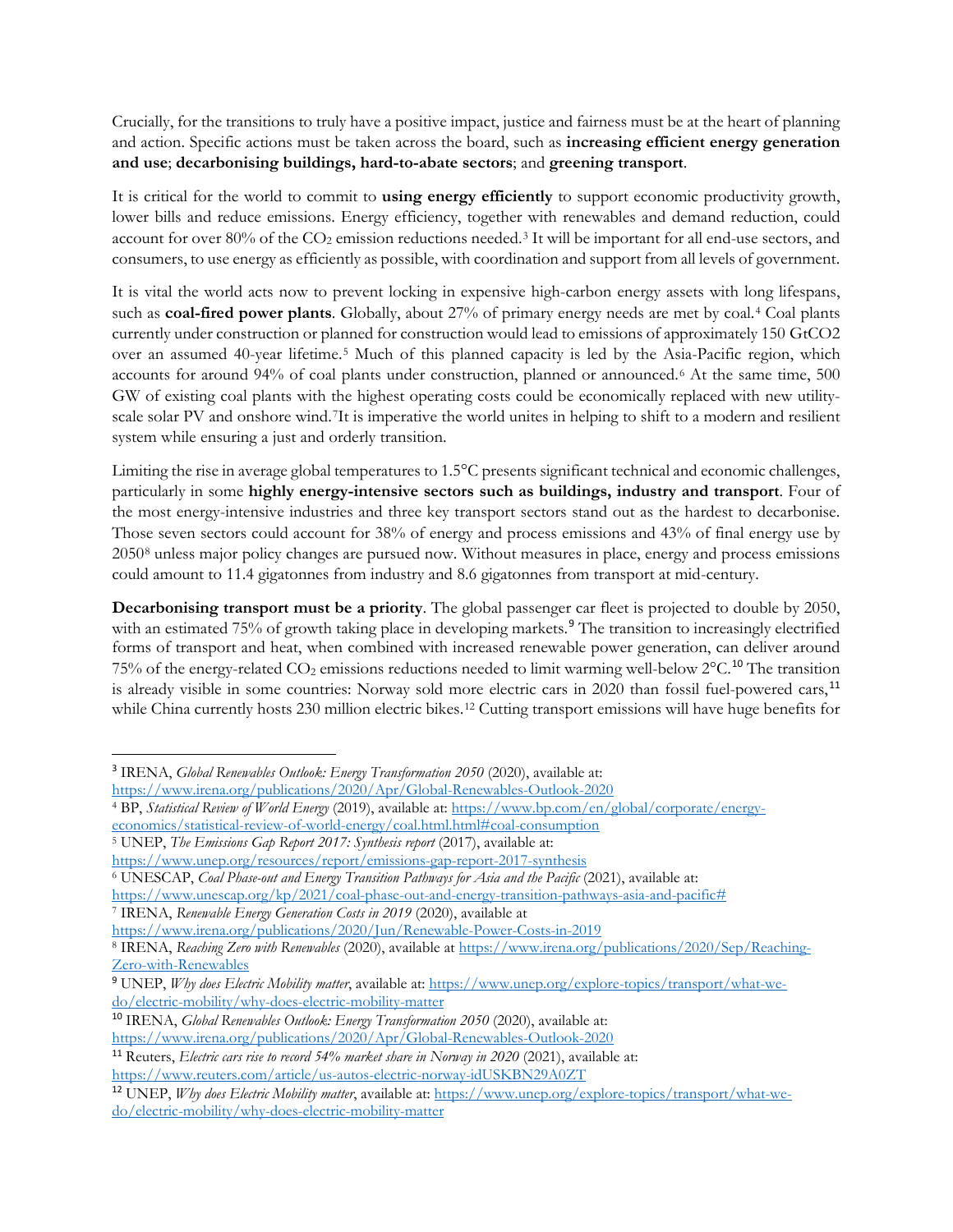Crucially, for the transitions to truly have a positive impact, justice and fairness must be at the heart of planning and action. Specific actions must be taken across the board, such as **increasing efficient energy generation and use**; **decarbonising buildings, hard-to-abate sectors**; and **greening transport**.

It is critical for the world to commit to **using energy efficiently** to support economic productivity growth, lower bills and reduce emissions. Energy efficiency, together with renewables and demand reduction, could account for over 80% of the CO<sub>2</sub> emission reductions needed.<sup>[3](#page-2-0)</sup> It will be important for all end-use sectors, and consumers, to use energy as efficiently as possible, with coordination and support from all levels of government.

It is vital the world acts now to prevent locking in expensive high-carbon energy assets with long lifespans, such as **coal-fired power plants**. Globally, about 27% of primary energy needs are met by coal.[4](#page-2-1) Coal plants currently under construction or planned for construction would lead to emissions of approximately 150 GtCO2 over an assumed 40-year lifetime.[5](#page-2-2) Much of this planned capacity is led by the Asia-Pacific region, which accounts for around 94% of coal plants under construction, planned or announced.[6](#page-2-3) At the same time, 500 GW of existing coal plants with the highest operating costs could be economically replaced with new utilityscale solar PV and onshore wind.[7](#page-2-4)It is imperative the world unites in helping to shift to a modern and resilient system while ensuring a just and orderly transition.

Limiting the rise in average global temperatures to 1.5°C presents significant technical and economic challenges, particularly in some **highly energy-intensive sectors such as buildings, industry and transport**. Four of the most energy-intensive industries and three key transport sectors stand out as the hardest to decarbonise. Those seven sectors could account for 38% of energy and process emissions and 43% of final energy use by 2050[8](#page-2-5) unless major policy changes are pursued now. Without measures in place, energy and process emissions could amount to 11.4 gigatonnes from industry and 8.6 gigatonnes from transport at mid-century.

**Decarbonising transport must be a priority**. The global passenger car fleet is projected to double by 2050, with an estimated 75% of growth taking place in developing markets.<sup>[9](#page-2-6)</sup> The transition to increasingly electrified forms of transport and heat, when combined with increased renewable power generation, can deliver around 75% of the energy-related  $CO_2$  emissions reductions needed to limit warming well-below  $2^{\circ}C$ .<sup>[10](#page-2-7)</sup> The transition is already visible in some countries: Norway sold more electric cars in 2020 than fossil fuel-powered cars,<sup>[11](#page-2-8)</sup> while China currently hosts 230 million electric bikes.<sup>[12](#page-2-9)</sup> Cutting transport emissions will have huge benefits for

```
5 UNEP, The Emissions Gap Report 2017: Synthesis report (2017), available at:
```
<span id="page-2-0"></span><sup>3</sup> IRENA, *Global Renewables Outlook: Energy Transformation 2050* (2020), available at:

<https://www.irena.org/publications/2020/Apr/Global-Renewables-Outlook-2020>

<span id="page-2-1"></span><sup>4</sup> BP, *Statistical Review of World Energy* (2019), available at: [https://www.bp.com/en/global/corporate/energy-](https://www.bp.com/en/global/corporate/energy-economics/statistical-review-of-world-energy/coal.html.html#coal-consumption)

[economics/statistical-review-of-world-energy/coal.html.html#coal-consumption](https://www.bp.com/en/global/corporate/energy-economics/statistical-review-of-world-energy/coal.html.html#coal-consumption)

<span id="page-2-3"></span><https://www.unep.org/resources/report/emissions-gap-report-2017-synthesis> <sup>6</sup> UNESCAP, *Coal Phase-out and Energy Transition Pathways for Asia and the Pacific* (2021), available at:

[https://www.unescap.org/kp/2021/coal-phase-out-and-energy-transition-pathways-asia-and-pacific#](https://www.unescap.org/kp/2021/coal-phase-out-and-energy-transition-pathways-asia-and-pacific)

<span id="page-2-4"></span><sup>7</sup> IRENA, *Renewable Energy Generation Costs in 2019* (2020), available at

<https://www.irena.org/publications/2020/Jun/Renewable-Power-Costs-in-2019>

<span id="page-2-5"></span><sup>8</sup> IRENA, *Reaching Zero with Renewables* (2020), available at [https://www.irena.org/publications/2020/Sep/Reaching-](https://www.irena.org/publications/2020/Sep/Reaching-Zero-with-Renewables)[Zero-with-Renewables](https://www.irena.org/publications/2020/Sep/Reaching-Zero-with-Renewables)

<span id="page-2-6"></span><sup>9</sup> UNEP, *Why does Electric Mobility matter*, available at: [https://www.unep.org/explore-topics/transport/what-we](https://www.unep.org/explore-topics/transport/what-we-do/electric-mobility/why-does-electric-mobility-matter)[do/electric-mobility/why-does-electric-mobility-matter](https://www.unep.org/explore-topics/transport/what-we-do/electric-mobility/why-does-electric-mobility-matter)

<span id="page-2-7"></span><sup>10</sup> IRENA, *Global Renewables Outlook: Energy Transformation 2050* (2020), available at: <https://www.irena.org/publications/2020/Apr/Global-Renewables-Outlook-2020>

<span id="page-2-8"></span><sup>11</sup> Reuters, *Electric cars rise to record 54% market share in Norway in 2020* (2021), available at: <https://www.reuters.com/article/us-autos-electric-norway-idUSKBN29A0ZT>

<span id="page-2-9"></span><sup>12</sup> UNEP, *Why does Electric Mobility matter*, available at: [https://www.unep.org/explore-topics/transport/what-we](https://www.unep.org/explore-topics/transport/what-we-do/electric-mobility/why-does-electric-mobility-matter)[do/electric-mobility/why-does-electric-mobility-matter](https://www.unep.org/explore-topics/transport/what-we-do/electric-mobility/why-does-electric-mobility-matter)